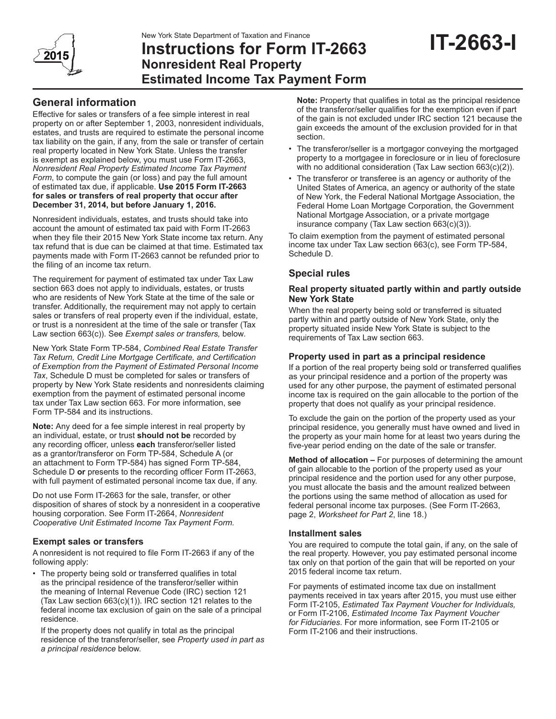

# **Instructions for Form IT-2663 Nonresident Real Property Estimated Income Tax Payment Form**

# **General information**

Effective for sales or transfers of a fee simple interest in real property on or after September 1, 2003, nonresident individuals, estates, and trusts are required to estimate the personal income tax liability on the gain, if any, from the sale or transfer of certain real property located in New York State. Unless the transfer is exempt as explained below, you must use Form IT-2663, *Nonresident Real Property Estimated Income Tax Payment Form*, to compute the gain (or loss) and pay the full amount of estimated tax due, if applicable. **Use 2015 Form IT‑2663 for sales or transfers of real property that occur after December 31, 2014, but before January 1, 2016.**

Nonresident individuals, estates, and trusts should take into account the amount of estimated tax paid with Form IT-2663 when they file their 2015 New York State income tax return. Any tax refund that is due can be claimed at that time. Estimated tax payments made with Form IT-2663 cannot be refunded prior to the filing of an income tax return.

The requirement for payment of estimated tax under Tax Law section 663 does not apply to individuals, estates, or trusts who are residents of New York State at the time of the sale or transfer. Additionally, the requirement may not apply to certain sales or transfers of real property even if the individual, estate, or trust is a nonresident at the time of the sale or transfer (Tax Law section 663(c)). See *Exempt sales or transfers,* below*.*

New York State Form TP-584, *Combined Real Estate Transfer Tax Return, Credit Line Mortgage Certificate, and Certification of Exemption from the Payment of Estimated Personal Income Tax*, Schedule D must be completed for sales or transfers of property by New York State residents and nonresidents claiming exemption from the payment of estimated personal income tax under Tax Law section 663. For more information, see Form TP-584 and its instructions.

**Note:** Any deed for a fee simple interest in real property by an individual, estate, or trust **should not be** recorded by any recording officer, unless **each** transferor/seller listed as a grantor/transferor on Form TP-584, Schedule A (or an attachment to Form TP-584) has signed Form TP-584, Schedule D **or** presents to the recording officer Form IT-2663, with full payment of estimated personal income tax due, if any.

Do not use Form IT-2663 for the sale, transfer, or other disposition of shares of stock by a nonresident in a cooperative housing corporation. See Form IT-2664, *Nonresident Cooperative Unit Estimated Income Tax Payment Form.*

# **Exempt sales or transfers**

A nonresident is not required to file Form IT-2663 if any of the following apply:

• The property being sold or transferred qualifies in total as the principal residence of the transferor/seller within the meaning of Internal Revenue Code (IRC) section 121 (Tax Law section 663(c)(1)). IRC section 121 relates to the federal income tax exclusion of gain on the sale of a principal residence.

If the property does not qualify in total as the principal residence of the transferor/seller, see *Property used in part as a principal residence* below.

**Note:** Property that qualifies in total as the principal residence of the transferor/seller qualifies for the exemption even if part of the gain is not excluded under IRC section 121 because the gain exceeds the amount of the exclusion provided for in that section.

- The transferor/seller is a mortgagor conveying the mortgaged property to a mortgagee in foreclosure or in lieu of foreclosure with no additional consideration (Tax Law section 663(c)(2)).
- The transferor or transferee is an agency or authority of the United States of America, an agency or authority of the state of New York, the Federal National Mortgage Association, the Federal Home Loan Mortgage Corporation, the Government National Mortgage Association, or a private mortgage insurance company (Tax Law section 663(c)(3)).

To claim exemption from the payment of estimated personal income tax under Tax Law section 663(c), see Form TP-584, Schedule D.

# **Special rules**

#### **Real property situated partly within and partly outside New York State**

When the real property being sold or transferred is situated partly within and partly outside of New York State, only the property situated inside New York State is subject to the requirements of Tax Law section 663.

# **Property used in part as a principal residence**

If a portion of the real property being sold or transferred qualifies as your principal residence and a portion of the property was used for any other purpose, the payment of estimated personal income tax is required on the gain allocable to the portion of the property that does not qualify as your principal residence.

To exclude the gain on the portion of the property used as your principal residence, you generally must have owned and lived in the property as your main home for at least two years during the five-year period ending on the date of the sale or transfer.

**Method of allocation –** For purposes of determining the amount of gain allocable to the portion of the property used as your principal residence and the portion used for any other purpose, you must allocate the basis and the amount realized between the portions using the same method of allocation as used for federal personal income tax purposes. (See Form IT-2663, page 2, *Worksheet for Part 2*, line 18.)

# **Installment sales**

You are required to compute the total gain, if any, on the sale of the real property. However, you pay estimated personal income tax only on that portion of the gain that will be reported on your 2015 federal income tax return.

For payments of estimated income tax due on installment payments received in tax years after 2015, you must use either Form IT‑2105, *Estimated Tax Payment Voucher for Individuals,* or Form IT-2106, *Estimated Income Tax Payment Voucher for Fiduciaries*. For more information, see Form IT‑2105 or Form IT-2106 and their instructions.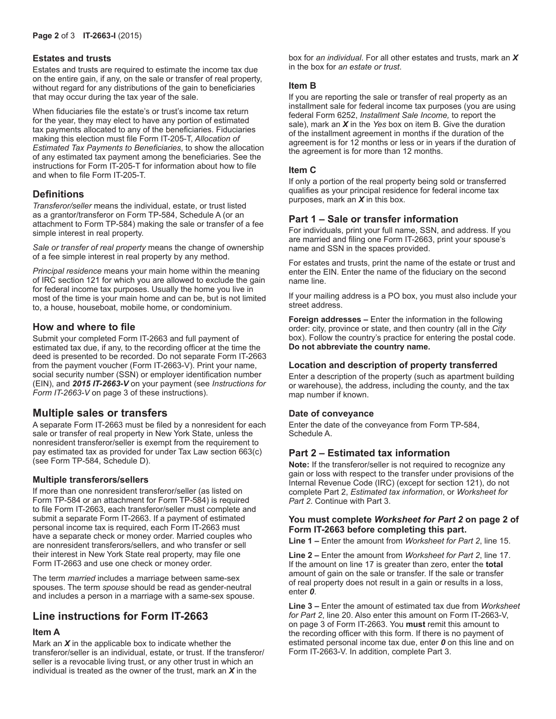#### **Estates and trusts**

Estates and trusts are required to estimate the income tax due on the entire gain, if any, on the sale or transfer of real property, without regard for any distributions of the gain to beneficiaries that may occur during the tax year of the sale.

When fiduciaries file the estate's or trust's income tax return for the year, they may elect to have any portion of estimated tax payments allocated to any of the beneficiaries. Fiduciaries making this election must file Form IT-205-T, *Allocation of Estimated Tax Payments to Beneficiaries*, to show the allocation of any estimated tax payment among the beneficiaries. See the instructions for Form IT‑205‑T for information about how to file and when to file Form IT‑205‑T.

# **Definitions**

*Transferor/seller* means the individual, estate, or trust listed as a grantor/transferor on Form TP-584, Schedule A (or an attachment to Form TP-584) making the sale or transfer of a fee simple interest in real property.

*Sale or transfer of real property* means the change of ownership of a fee simple interest in real property by any method.

*Principal residence* means your main home within the meaning of IRC section 121 for which you are allowed to exclude the gain for federal income tax purposes. Usually the home you live in most of the time is your main home and can be, but is not limited to, a house, houseboat, mobile home, or condominium.

# **How and where to file**

Submit your completed Form IT-2663 and full payment of estimated tax due, if any, to the recording officer at the time the deed is presented to be recorded. Do not separate Form IT-2663 from the payment voucher (Form IT-2663-V). Print your name, social security number (SSN) or employer identification number (EIN), and *2015 IT‑2663‑V* on your payment (see *Instructions for Form IT‑2663‑V* on page 3 of these instructions).

# **Multiple sales or transfers**

A separate Form IT-2663 must be filed by a nonresident for each sale or transfer of real property in New York State, unless the nonresident transferor/seller is exempt from the requirement to pay estimated tax as provided for under Tax Law section 663(c) (see Form TP-584, Schedule D).

#### **Multiple transferors/sellers**

If more than one nonresident transferor/seller (as listed on Form TP-584 or an attachment for Form TP-584) is required to file Form IT-2663, each transferor/seller must complete and submit a separate Form IT-2663. If a payment of estimated personal income tax is required, each Form IT-2663 must have a separate check or money order. Married couples who are nonresident transferors/sellers, and who transfer or sell their interest in New York State real property, may file one Form IT-2663 and use one check or money order.

The term *married* includes a marriage between same-sex spouses. The term *spouse* should be read as gender-neutral and includes a person in a marriage with a same-sex spouse.

# **Line instructions for Form IT-2663**

# **Item A**

Mark an *X* in the applicable box to indicate whether the transferor/seller is an individual, estate, or trust. If the transferor/ seller is a revocable living trust, or any other trust in which an individual is treated as the owner of the trust, mark an *X* in the

box for *an individual*. For all other estates and trusts, mark an *X* in the box for *an estate or trust*.

#### **Item B**

If you are reporting the sale or transfer of real property as an installment sale for federal income tax purposes (you are using federal Form 6252, *Installment Sale Income,* to report the sale), mark an *X* in the *Yes* box on item B. Give the duration of the installment agreement in months if the duration of the agreement is for 12 months or less or in years if the duration of the agreement is for more than 12 months.

#### **Item C**

If only a portion of the real property being sold or transferred qualifies as your principal residence for federal income tax purposes, mark an *X* in this box.

# **Part 1 – Sale or transfer information**

For individuals, print your full name, SSN, and address. If you are married and filing one Form IT-2663, print your spouse's name and SSN in the spaces provided.

For estates and trusts, print the name of the estate or trust and enter the EIN. Enter the name of the fiduciary on the second name line.

If your mailing address is a PO box, you must also include your street address.

**Foreign addresses –** Enter the information in the following order: city, province or state, and then country (all in the *City* box). Follow the country's practice for entering the postal code. **Do not abbreviate the country name.**

#### **Location and description of property transferred**

Enter a description of the property (such as apartment building or warehouse), the address, including the county, and the tax map number if known.

#### **Date of conveyance**

Enter the date of the conveyance from Form TP‑584, Schedule A.

# **Part 2 – Estimated tax information**

**Note:** If the transferor/seller is not required to recognize any gain or loss with respect to the transfer under provisions of the Internal Revenue Code (IRC) (except for section 121), do not complete Part 2, *Estimated tax information*, or *Worksheet for Part 2*. Continue with Part 3.

# **You must complete** *Worksheet for Part 2* **on page 2 of Form IT‑2663 before completing this part.**

**Line 1 –** Enter the amount from *Worksheet for Part 2*, line 15.

**Line 2 –** Enter the amount from *Worksheet for Part 2*, line 17. If the amount on line 17 is greater than zero, enter the **total** amount of gain on the sale or transfer. If the sale or transfer of real property does not result in a gain or results in a loss, enter *0*.

**Line 3 –** Enter the amount of estimated tax due from *Worksheet for Part 2*, line 20. Also enter this amount on Form IT-2663-V, on page 3 of Form IT-2663. You **must** remit this amount to the recording officer with this form. If there is no payment of estimated personal income tax due, enter *0* on this line and on Form IT-2663-V. In addition, complete Part 3.